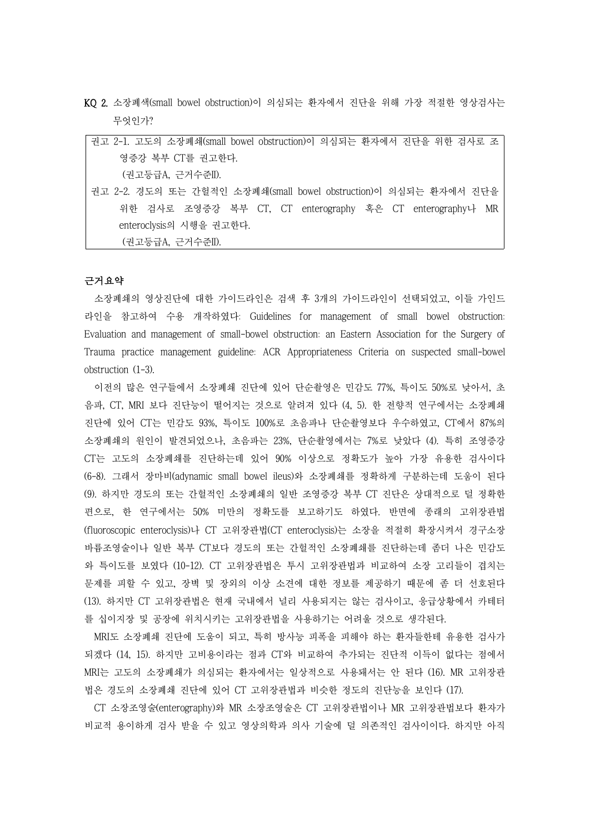KQ 2. 소장폐색(small bowel obstruction)이 의심되는 환자에서 진단을 위해 가장 적절한 영상검사는 무엇인가?

| 권고 2-1. 고도의 소장폐쇄(small bowel obstruction)이 의심되는 환자에서 진단을 위한 검사로 조 |
|-------------------------------------------------------------------|
| 영증강 복부 CT를 권고한다.                                                  |
| (권고등급A, 근거수준II).                                                  |
| 권고 2-2. 경도의 또는 간헐적인 소장폐쇄(small bowel obstruction)이 의심되는 환자에서 진단을  |
| 위한 검사로 조영증강 복부 CT, CT enterography 혹은 CT enterography나 MR         |
| enteroclysis의 시행을 권고한다.                                           |
| (권고등급A, 근거수준II).                                                  |

#### 근거요약

소장폐쇄의 영상진단에 대한 가이드라인은 검색 후 3개의 가이드라인이 선택되었고, 이들 가인드 라인을 참고하여 수용 개작하였다: Guidelines for management of small bowel obstruction: Evaluation and management of small-bowel obstruction: an Eastern Association for the Surgery of Trauma practice management guideline: ACR Appropriateness Criteria on suspected small-bowel obstruction (1-3).

이전의 많은 연구들에서 소장폐쇄 진단에 있어 단순촬영은 민감도 77%, 특이도 50%로 낮아서, 초 음파, CT, MRI 보다 진단능이 떨어지는 것으로 알려져 있다 (4, 5). 한 전향적 연구에서는 소장폐쇄 진단에 있어 CT는 민감도 93%, 특이도 100%로 초음파나 단순촬영보다 우수하였고, CT에서 87%의 소장폐쇄의 원인이 발견되었으나, 초음파는 23%, 단순촬영에서는 7%로 낮았다 (4). 특히 조영증강 CT는 고도의 소장폐쇄를 진단하는데 있어 90% 이상으로 정확도가 높아 가장 유용한 검사이다 (6-8). 그래서 장마비(adynamic small bowel ileus)와 소장폐쇄를 정확하게 구분하는데 도움이 된다 (9). 하지만 경도의 또는 간헐적인 소장폐쇄의 일반 조영증강 복부 CT 진단은 상대적으로 덜 정확한 편으로, 한 연구에서는 50% 미만의 정확도를 보고하기도 하였다. 반면에 종래의 고위장관법 (fluoroscopic enteroclysis)나 CT 고위장관법(CT enteroclysis)는 소장을 적절히 확장시켜서 경구소장 바륨조영술이나 일반 복부 CT보다 경도의 또는 간헐적인 소장폐쇄를 진단하는데 좀더 나은 민감도 와 특이도를 보였다 (10-12). CT 고위장관법은 투시 고위장관법과 비교하여 소장 고리들이 겹치는 문제를 피할 수 있고, 장벽 및 장외의 이상 소견에 대한 정보를 제공하기 때문에 좀 더 선호된다 (13). 하지만 CT 고위장관법은 현재 국내에서 널리 사용되지는 않는 검사이고, 응급상황에서 카테터

를 십이지장 및 공장에 위치시키는 고위장관법을 사용하기는 어려울 것으로 생각된다.<br>-<br>MRI도 소장폐쇄 진단에 도움이 되고, 특히 방사능 피폭을 피해야 하는 환자들한테 유용한 검사가 되겠다 (14, 15). 하지만 고비용이라는 점과 CT와 비교하여 추가되는 진단적 이득이 없다는 점에서 MRI는 고도의 소장폐쇄가 의심되는 환자에서는 일상적으로 사용돼서는 안 된다 (16). MR 고위장관 법은 경도의 소장폐쇄 진단에 있어 CT 고위장관법과 비슷한 정도의 진단능을 보인다 (17).

CT 소장조영술(enterography)와 MR 소장조영술은 CT 고위장관법이나 MR 고위장관법보다 환자가 비교적 용이하게 검사 받을 수 있고 영상의학과 의사 기술에 덜 의존적인 검사이이다. 하지만 아직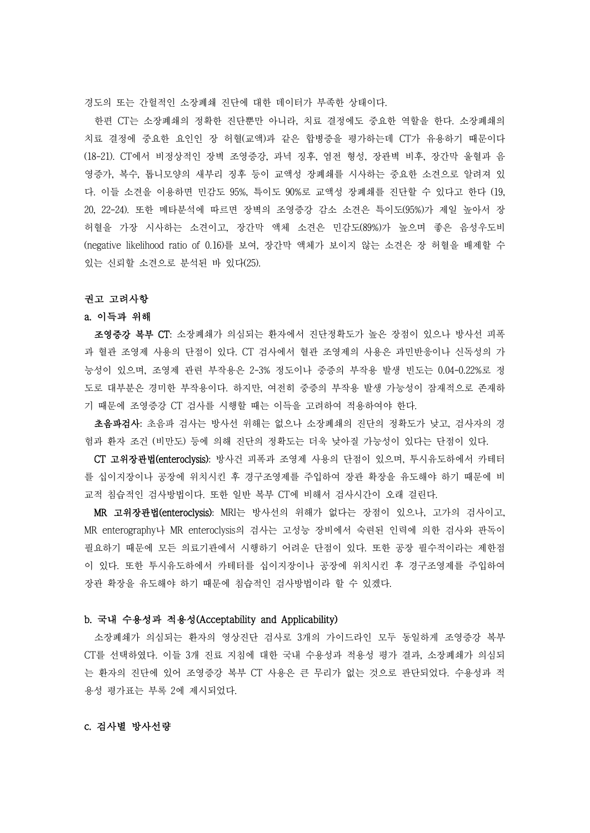경도의 또는 간헐적인 소장폐쇄 진단에 대한 데이터가 부족한 상태이다.<br>-<br>한편 CT는 소장폐쇄의 정확한 진단뿐만 아니라, 치료 결정에도 중요한 역할을 한다. 소장폐쇄의 치료 결정에 중요한 요인인 장 허혈(교액)과 같은 합병증을 평가하는데 CT가 유용하기 때문이다 (18-21). CT에서 비정상적인 장벽 조영증강, 과녁 징후, 염전 형성, 장관벽 비후, 장간막 울혈과 음 영증가, 복수, 톱니모양의 새부리 징후 등이 교액성 장폐쇄를 시사하는 중요한 소견으로 알려져 있 다. 이들 소견을 이용하면 민감도 95%, 특이도 90%로 교액성 장폐쇄를 진단할 수 있다고 한다 (19, 20, 22-24). 또한 메타분석에 따르면 장벽의 조영증강 감소 소견은 특이도(95%)가 제일 높아서 장 허혈을 가장 시사하는 소견이고, 장간막 액체 소견은 민감도(89%)가 높으며 좋은 음성우도비 (negative likelihood ratio of 0.16)를 보여, 장간막 액체가 보이지 않는 소견은 장 허혈을 배제할 수 있는 신뢰할 소견으로 분석된 바 있다(25).

# 권고 고려사항

## a. 이득과 위해

조영증강 복부 CT: 소장폐쇄가 의심되는 환자에서 진단정확도가 높은 장점이 있으나 방사선 피폭 과 혈관 조영제 사용의 단점이 있다. CT 검사에서 혈관 조영제의 사용은 과민반응이나 신독성의 가 능성이 있으며, 조영제 관련 부작용은 2-3% 정도이나 중증의 부작용 발생 빈도는 0.04-0.22%로 정 도로 대부분은 경미한 부작용이다. 하지만, 여전히 중증의 부작용 발생 가능성이 잠재적으로 존재하 기 때문에 조영증강 CT 검사를 시행할 때는 이득을 고려하여 적용하여야 한다.

초음파검사: 초음파 검사는 방사선 위해는 없으나 소장폐쇄의 진단의 정확도가 낮고, 검사자의 경

험과 환자 조건 (비만도) 등에 의해 진단의 정확도는 더욱 낮아질 가능성이 있다는 단점이 있다.<br>-<br>**CT 고위장관법(enteroclysis)**: 방사건 피폭과 조영제 사용의 단점이 있으며, 투시유도하에서 카테터 를 십이지장이나 공장에 위치시킨 후 경구조영제를 주입하여 장관 확장을 유도해야 하기 때문에 비

교적 침습적인 검사방법이다. 또한 일반 복부 CT에 비해서 검사시간이 오래 걸린다.<br>MR 고위장관법(enteroclysis): MRI는 방사선의 위해가 없다는 장점이 있으나, 고가의 검사이고,<br>MR enterography나 MR enteroclysis의 검사는 고성능 장비에서 숙련된 인력에 의한 검사와 판독이 필요하기 때문에 모든 의료기관에서 시행하기 어려운 단점이 있다. 또한 공장 필수적이라는 제한점 이 있다. 또한 투시유도하에서 카테터를 십이지장이나 공장에 위치시킨 후 경구조영제를 주입하여 장관 확장을 유도해야 하기 때문에 침습적인 검사방법이라 할 수 있겠다.

### b. 국내 수용성과 적용성(Acceptability and Applicability)

소장폐쇄가 의심되는 환자의 영상진단 검사로 3개의 가이드라인 모두 동일하게 조영증강 복부 CT를 선택하였다. 이들 3개 진료 지침에 대한 국내 수용성과 적용성 평가 결과, 소장폐쇄가 의심되 는 환자의 진단에 있어 조영증강 복부 CT 사용은 큰 무리가 없는 것으로 판단되었다. 수용성과 적 용성 평가표는 부록 2에 제시되었다.

### c. 검사별 방사선량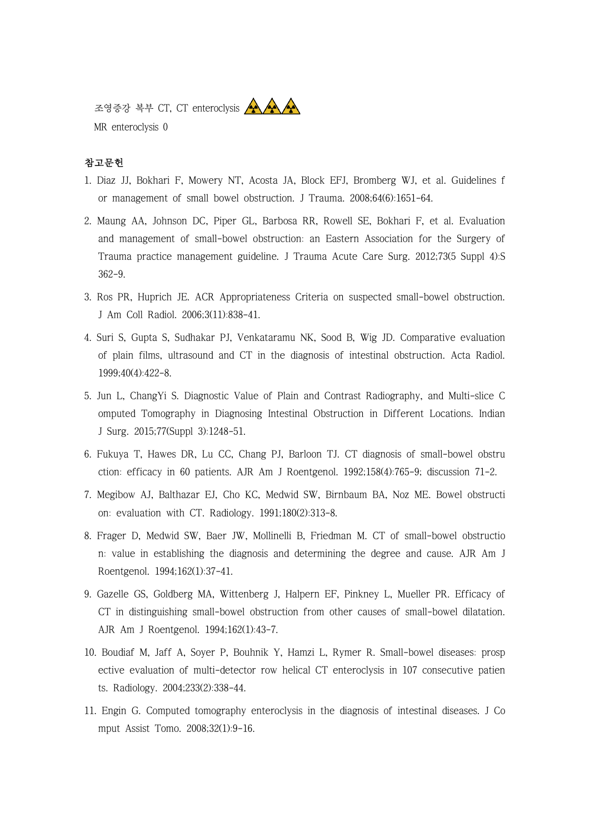조영증강 복부 CT, CT enteroclysis AAAAA MR enteroclysis 0



- 1. Diaz JJ, Bokhari F, Mowery NT, Acosta JA, Block EFJ, Bromberg WJ, et al. Guidelines f or management of small bowel obstruction. J Trauma. 2008;64(6):1651-64.
- 2. Maung AA, Johnson DC, Piper GL, Barbosa RR, Rowell SE, Bokhari F, et al. Evaluation and management of small-bowel obstruction: an Eastern Association for the Surgery of Trauma practice management guideline. J Trauma Acute Care Surg. 2012;73(5 Suppl 4):S 362-9.
- 3. Ros PR, Huprich JE. ACR Appropriateness Criteria on suspected small-bowel obstruction. J Am Coll Radiol. 2006;3(11):838-41.
- 4. Suri S, Gupta S, Sudhakar PJ, Venkataramu NK, Sood B, Wig JD. Comparative evaluation of plain films, ultrasound and CT in the diagnosis of intestinal obstruction. Acta Radiol. 1999;40(4):422-8.
- 5. Jun L, ChangYi S. Diagnostic Value of Plain and Contrast Radiography, and Multi-slice C omputed Tomography in Diagnosing Intestinal Obstruction in Different Locations. Indian J Surg. 2015;77(Suppl 3):1248-51.
- 6. Fukuya T, Hawes DR, Lu CC, Chang PJ, Barloon TJ. CT diagnosis of small-bowel obstru ction: efficacy in 60 patients. AJR Am J Roentgenol. 1992;158(4):765-9; discussion 71-2.
- 7. Megibow AJ, Balthazar EJ, Cho KC, Medwid SW, Birnbaum BA, Noz ME. Bowel obstructi on: evaluation with CT. Radiology. 1991;180(2):313-8.
- 8. Frager D, Medwid SW, Baer JW, Mollinelli B, Friedman M. CT of small-bowel obstructio n: value in establishing the diagnosis and determining the degree and cause. AJR Am J Roentgenol. 1994;162(1):37-41.
- 9. Gazelle GS, Goldberg MA, Wittenberg J, Halpern EF, Pinkney L, Mueller PR. Efficacy of CT in distinguishing small-bowel obstruction from other causes of small-bowel dilatation. AJR Am J Roentgenol. 1994;162(1):43-7.
- 10. Boudiaf M, Jaff A, Soyer P, Bouhnik Y, Hamzi L, Rymer R. Small-bowel diseases: prosp ective evaluation of multi-detector row helical CT enteroclysis in 107 consecutive patien ts. Radiology. 2004;233(2):338-44.
- 11. Engin G. Computed tomography enteroclysis in the diagnosis of intestinal diseases. J Co mput Assist Tomo. 2008;32(1):9-16.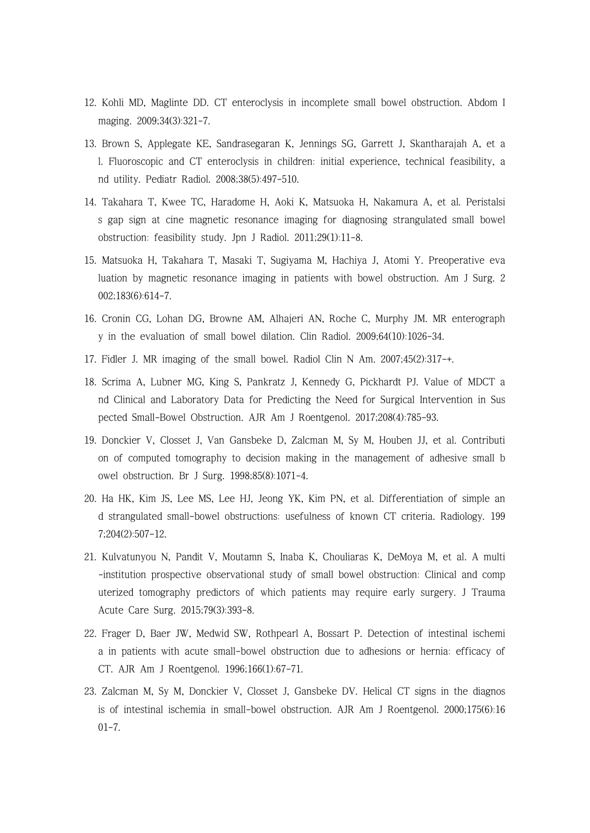- 12. Kohli MD, Maglinte DD. CT enteroclysis in incomplete small bowel obstruction. Abdom I maging. 2009;34(3):321-7.
- 13. Brown S, Applegate KE, Sandrasegaran K, Jennings SG, Garrett J, Skantharajah A, et a l. Fluoroscopic and CT enteroclysis in children: initial experience, technical feasibility, a nd utility. Pediatr Radiol. 2008;38(5):497-510.
- 14. Takahara T, Kwee TC, Haradome H, Aoki K, Matsuoka H, Nakamura A, et al. Peristalsi s gap sign at cine magnetic resonance imaging for diagnosing strangulated small bowel obstruction: feasibility study. Jpn J Radiol. 2011;29(1):11-8.
- 15. Matsuoka H, Takahara T, Masaki T, Sugiyama M, Hachiya J, Atomi Y. Preoperative eva luation by magnetic resonance imaging in patients with bowel obstruction. Am J Surg. 2 002;183(6):614-7.
- 16. Cronin CG, Lohan DG, Browne AM, Alhajeri AN, Roche C, Murphy JM. MR enterograph y in the evaluation of small bowel dilation. Clin Radiol. 2009;64(10):1026-34.
- 17. Fidler J. MR imaging of the small bowel. Radiol Clin N Am. 2007;45(2):317-+.
- 18. Scrima A, Lubner MG, King S, Pankratz J, Kennedy G, Pickhardt PJ. Value of MDCT a nd Clinical and Laboratory Data for Predicting the Need for Surgical Intervention in Sus pected Small-Bowel Obstruction. AJR Am J Roentgenol. 2017;208(4):785-93.
- 19. Donckier V, Closset J, Van Gansbeke D, Zalcman M, Sy M, Houben JJ, et al. Contributi on of computed tomography to decision making in the management of adhesive small b owel obstruction. Br J Surg. 1998;85(8):1071-4.
- 20. Ha HK, Kim JS, Lee MS, Lee HJ, Jeong YK, Kim PN, et al. Differentiation of simple an d strangulated small-bowel obstructions: usefulness of known CT criteria. Radiology. 199 7;204(2):507-12.
- 21. Kulvatunyou N, Pandit V, Moutamn S, Inaba K, Chouliaras K, DeMoya M, et al. A multi -institution prospective observational study of small bowel obstruction: Clinical and comp uterized tomography predictors of which patients may require early surgery. J Trauma Acute Care Surg. 2015;79(3):393-8.
- 22. Frager D, Baer JW, Medwid SW, Rothpearl A, Bossart P. Detection of intestinal ischemi a in patients with acute small-bowel obstruction due to adhesions or hernia: efficacy of CT. AJR Am J Roentgenol. 1996;166(1):67-71.
- 23. Zalcman M, Sy M, Donckier V, Closset J, Gansbeke DV. Helical CT signs in the diagnos is of intestinal ischemia in small-bowel obstruction. AJR Am J Roentgenol. 2000;175(6):16 01-7.